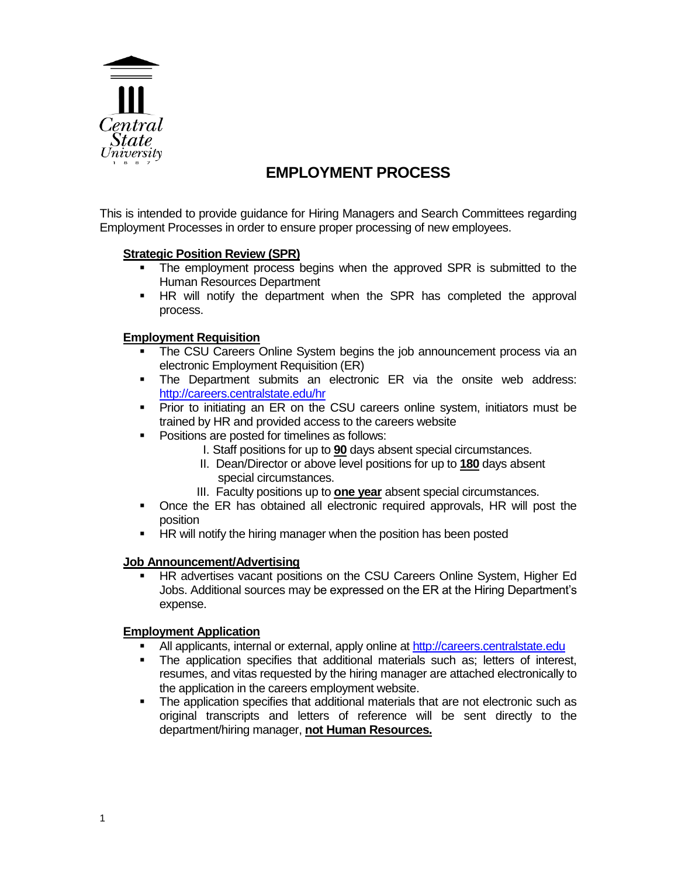

# **EMPLOYMENT PROCESS**

This is intended to provide guidance for Hiring Managers and Search Committees regarding Employment Processes in order to ensure proper processing of new employees.

# **Strategic Position Review (SPR)**

- The employment process begins when the approved SPR is submitted to the Human Resources Department
- HR will notify the department when the SPR has completed the approval process.

# **Employment Requisition**

- The CSU Careers Online System begins the job announcement process via an electronic Employment Requisition (ER)
- The Department submits an electronic ER via the onsite web address: <http://careers.centralstate.edu/hr>
- Prior to initiating an ER on the CSU careers online system, initiators must be trained by HR and provided access to the careers website
- **Positions are posted for timelines as follows:** 
	- I. Staff positions for up to **90** days absent special circumstances.
	- II. Dean/Director or above level positions for up to **180** days absent special circumstances.
	- III. Faculty positions up to **one year** absent special circumstances.
- Once the ER has obtained all electronic required approvals, HR will post the position
- **HR** will notify the hiring manager when the position has been posted

### **Job Announcement/Advertising**

 HR advertises vacant positions on the CSU Careers Online System, Higher Ed Jobs. Additional sources may be expressed on the ER at the Hiring Department's expense.

## **Employment Application**

- All applicants, internal or external, apply online a[t http://careers.centralstate.edu](http://careers.centralstate.edu/)
- **The application specifies that additional materials such as; letters of interest,** resumes, and vitas requested by the hiring manager are attached electronically to the application in the careers employment website.
- The application specifies that additional materials that are not electronic such as original transcripts and letters of reference will be sent directly to the department/hiring manager, **not Human Resources.**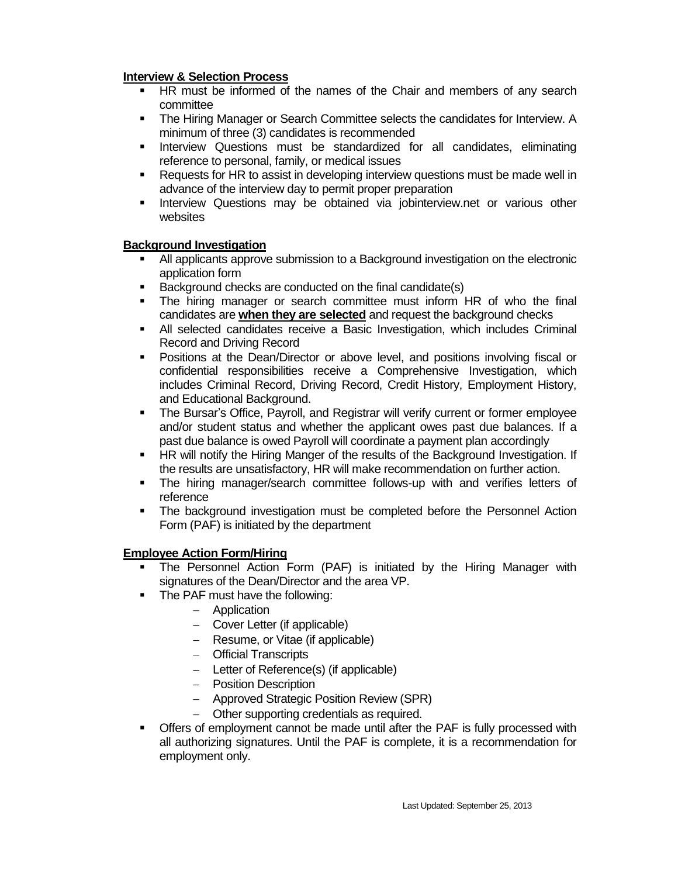# **Interview & Selection Process**

- **HR must be informed of the names of the Chair and members of any search** committee
- The Hiring Manager or Search Committee selects the candidates for Interview. A minimum of three (3) candidates is recommended
- **Interview Questions must be standardized for all candidates, eliminating** reference to personal, family, or medical issues
- Requests for HR to assist in developing interview questions must be made well in advance of the interview day to permit proper preparation
- **Interview Questions may be obtained via jobinterview.net or various other** websites

## **Background Investigation**

- All applicants approve submission to a Background investigation on the electronic application form
- Background checks are conducted on the final candidate(s)
- The hiring manager or search committee must inform HR of who the final candidates are **when they are selected** and request the background checks
- All selected candidates receive a Basic Investigation, which includes Criminal Record and Driving Record
- **Positions at the Dean/Director or above level, and positions involving fiscal or** confidential responsibilities receive a Comprehensive Investigation, which includes Criminal Record, Driving Record, Credit History, Employment History, and Educational Background.
- The Bursar's Office, Payroll, and Registrar will verify current or former employee and/or student status and whether the applicant owes past due balances. If a past due balance is owed Payroll will coordinate a payment plan accordingly
- HR will notify the Hiring Manger of the results of the Background Investigation. If the results are unsatisfactory, HR will make recommendation on further action.
- The hiring manager/search committee follows-up with and verifies letters of reference
- **The background investigation must be completed before the Personnel Action** Form (PAF) is initiated by the department

# **Employee Action Form/Hiring**

- The Personnel Action Form (PAF) is initiated by the Hiring Manager with signatures of the Dean/Director and the area VP.
- The PAF must have the following:
	- Application
	- Cover Letter (if applicable)
	- Resume, or Vitae (if applicable)
	- Official Transcripts
	- Letter of Reference(s) (if applicable)
	- Position Description
	- Approved Strategic Position Review (SPR)
	- Other supporting credentials as required.
- Offers of employment cannot be made until after the PAF is fully processed with all authorizing signatures. Until the PAF is complete, it is a recommendation for employment only.